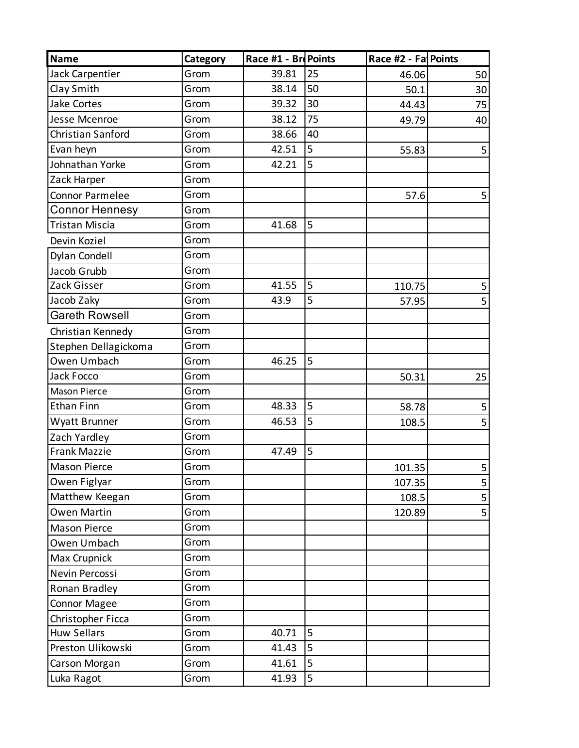| <b>Name</b>            | Category | Race #1 - BrePoints |    | Race #2 - Fa Points |    |
|------------------------|----------|---------------------|----|---------------------|----|
| Jack Carpentier        | Grom     | 39.81               | 25 | 46.06               | 50 |
| Clay Smith             | Grom     | 38.14               | 50 | 50.1                | 30 |
| Jake Cortes            | Grom     | 39.32               | 30 | 44.43               | 75 |
| Jesse Mcenroe          | Grom     | 38.12               | 75 | 49.79               | 40 |
| Christian Sanford      | Grom     | 38.66               | 40 |                     |    |
| Evan heyn              | Grom     | 42.51               | 5  | 55.83               | 5  |
| Johnathan Yorke        | Grom     | 42.21               | 5  |                     |    |
| Zack Harper            | Grom     |                     |    |                     |    |
| <b>Connor Parmelee</b> | Grom     |                     |    | 57.6                | 5  |
| <b>Connor Hennesy</b>  | Grom     |                     |    |                     |    |
| Tristan Miscia         | Grom     | 41.68               | 5  |                     |    |
| Devin Koziel           | Grom     |                     |    |                     |    |
| <b>Dylan Condell</b>   | Grom     |                     |    |                     |    |
| Jacob Grubb            | Grom     |                     |    |                     |    |
| Zack Gisser            | Grom     | 41.55               | 5  | 110.75              | 5  |
| Jacob Zaky             | Grom     | 43.9                | 5  | 57.95               | 5  |
| <b>Gareth Rowsell</b>  | Grom     |                     |    |                     |    |
| Christian Kennedy      | Grom     |                     |    |                     |    |
| Stephen Dellagickoma   | Grom     |                     |    |                     |    |
| Owen Umbach            | Grom     | 46.25               | 5  |                     |    |
| Jack Focco             | Grom     |                     |    | 50.31               | 25 |
| <b>Mason Pierce</b>    | Grom     |                     |    |                     |    |
| <b>Ethan Finn</b>      | Grom     | 48.33               | 5  | 58.78               | 5  |
| Wyatt Brunner          | Grom     | 46.53               | 5  | 108.5               | 5  |
| Zach Yardley           | Grom     |                     |    |                     |    |
| <b>Frank Mazzie</b>    | Grom     | 47.49               | 5  |                     |    |
| <b>Mason Pierce</b>    | Grom     |                     |    | 101.35              | 5  |
| Owen Figlyar           | Grom     |                     |    | 107.35              | 5  |
| Matthew Keegan         | Grom     |                     |    | 108.5               | 5  |
| <b>Owen Martin</b>     | Grom     |                     |    | 120.89              | 5  |
| <b>Mason Pierce</b>    | Grom     |                     |    |                     |    |
| Owen Umbach            | Grom     |                     |    |                     |    |
| Max Crupnick           | Grom     |                     |    |                     |    |
| Nevin Percossi         | Grom     |                     |    |                     |    |
| Ronan Bradley          | Grom     |                     |    |                     |    |
| <b>Connor Magee</b>    | Grom     |                     |    |                     |    |
| Christopher Ficca      | Grom     |                     |    |                     |    |
| <b>Huw Sellars</b>     | Grom     | 40.71               | 5  |                     |    |
| Preston Ulikowski      | Grom     | 41.43               | 5  |                     |    |
| Carson Morgan          | Grom     | 41.61               | 5  |                     |    |
| Luka Ragot             | Grom     | 41.93               | 5  |                     |    |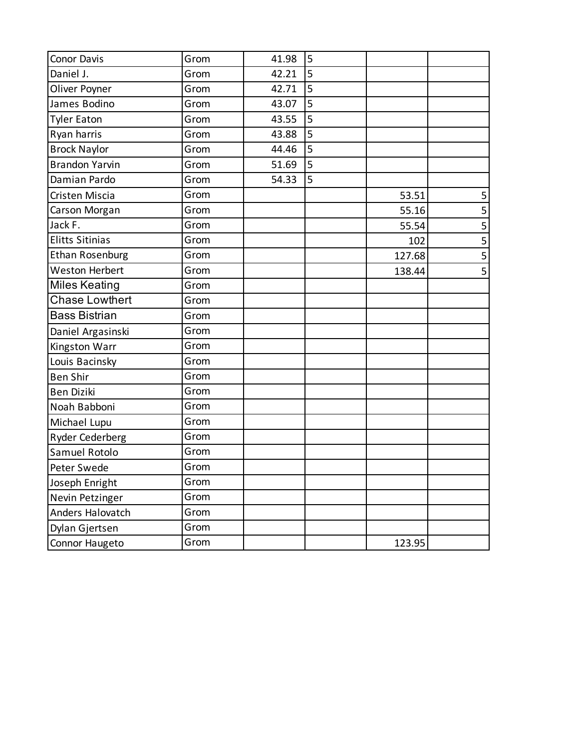| Conor Davis            | Grom | 41.98 | 5 |        |   |
|------------------------|------|-------|---|--------|---|
| Daniel J.              | Grom | 42.21 | 5 |        |   |
| Oliver Poyner          | Grom | 42.71 | 5 |        |   |
| James Bodino           | Grom | 43.07 | 5 |        |   |
| <b>Tyler Eaton</b>     | Grom | 43.55 | 5 |        |   |
| Ryan harris            | Grom | 43.88 | 5 |        |   |
| <b>Brock Naylor</b>    | Grom | 44.46 | 5 |        |   |
| <b>Brandon Yarvin</b>  | Grom | 51.69 | 5 |        |   |
| Damian Pardo           | Grom | 54.33 | 5 |        |   |
| Cristen Miscia         | Grom |       |   | 53.51  | 5 |
| Carson Morgan          | Grom |       |   | 55.16  | 5 |
| Jack F.                | Grom |       |   | 55.54  | 5 |
| <b>Elitts Sitinias</b> | Grom |       |   | 102    | 5 |
| <b>Ethan Rosenburg</b> | Grom |       |   | 127.68 |   |
| <b>Weston Herbert</b>  | Grom |       |   | 138.44 | 5 |
| <b>Miles Keating</b>   | Grom |       |   |        |   |
| <b>Chase Lowthert</b>  | Grom |       |   |        |   |
| <b>Bass Bistrian</b>   | Grom |       |   |        |   |
| Daniel Argasinski      | Grom |       |   |        |   |
| Kingston Warr          | Grom |       |   |        |   |
| Louis Bacinsky         | Grom |       |   |        |   |
| <b>Ben Shir</b>        | Grom |       |   |        |   |
| <b>Ben Diziki</b>      | Grom |       |   |        |   |
| Noah Babboni           | Grom |       |   |        |   |
| Michael Lupu           | Grom |       |   |        |   |
| Ryder Cederberg        | Grom |       |   |        |   |
| Samuel Rotolo          | Grom |       |   |        |   |
| Peter Swede            | Grom |       |   |        |   |
| Joseph Enright         | Grom |       |   |        |   |
| Nevin Petzinger        | Grom |       |   |        |   |
| Anders Halovatch       | Grom |       |   |        |   |
| Dylan Gjertsen         | Grom |       |   |        |   |
| Connor Haugeto         | Grom |       |   | 123.95 |   |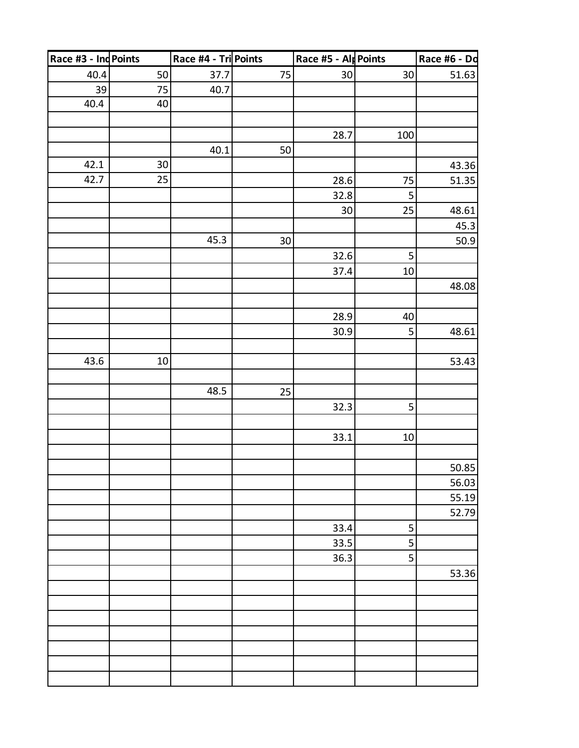| Race #6 - Do |        | Race #5 - Alp Points |        | Race #4 - Tri Points |        | Race #3 - Ind Points |
|--------------|--------|----------------------|--------|----------------------|--------|----------------------|
| 51.63        | 30     | 30                   | 75     | 37.7                 | 50     | 40.4                 |
|              |        |                      |        | 40.7                 | $75\,$ | 39                   |
|              |        |                      |        |                      | 40     | 40.4                 |
|              |        |                      |        |                      |        |                      |
|              | 100    | 28.7                 |        |                      |        |                      |
|              |        |                      | 50     | 40.1                 |        |                      |
| 43.36        |        |                      |        |                      | $30\,$ | 42.1                 |
| 51.35        | $75\,$ | $28.6\,$             |        |                      | 25     | 42.7                 |
|              | 5      | 32.8                 |        |                      |        |                      |
| 48.61        | 25     | 30                   |        |                      |        |                      |
| 45.3         |        |                      |        |                      |        |                      |
| 50.9         |        |                      | $30\,$ | 45.3                 |        |                      |
|              | 5      | 32.6                 |        |                      |        |                      |
|              | 10     | 37.4                 |        |                      |        |                      |
| 48.08        |        |                      |        |                      |        |                      |
|              |        |                      |        |                      |        |                      |
|              | 40     | 28.9                 |        |                      |        |                      |
| 48.61        | 5      | 30.9                 |        |                      |        |                      |
|              |        |                      |        |                      |        |                      |
| 53.43        |        |                      |        |                      | $10\,$ | 43.6                 |
|              |        |                      |        |                      |        |                      |
|              |        |                      | 25     | 48.5                 |        |                      |
|              | 5      | 32.3                 |        |                      |        |                      |
|              |        |                      |        |                      |        |                      |
|              | $10\,$ | 33.1                 |        |                      |        |                      |
|              |        |                      |        |                      |        |                      |
| 50.85        |        |                      |        |                      |        |                      |
| 56.03        |        |                      |        |                      |        |                      |
| 55.19        |        |                      |        |                      |        |                      |
| 52.79        |        |                      |        |                      |        |                      |
|              | 5      | 33.4                 |        |                      |        |                      |
|              | 5      | 33.5                 |        |                      |        |                      |
|              | 5      | 36.3                 |        |                      |        |                      |
| 53.36        |        |                      |        |                      |        |                      |
|              |        |                      |        |                      |        |                      |
|              |        |                      |        |                      |        |                      |
|              |        |                      |        |                      |        |                      |
|              |        |                      |        |                      |        |                      |
|              |        |                      |        |                      |        |                      |
|              |        |                      |        |                      |        |                      |
|              |        |                      |        |                      |        |                      |
|              |        |                      |        |                      |        |                      |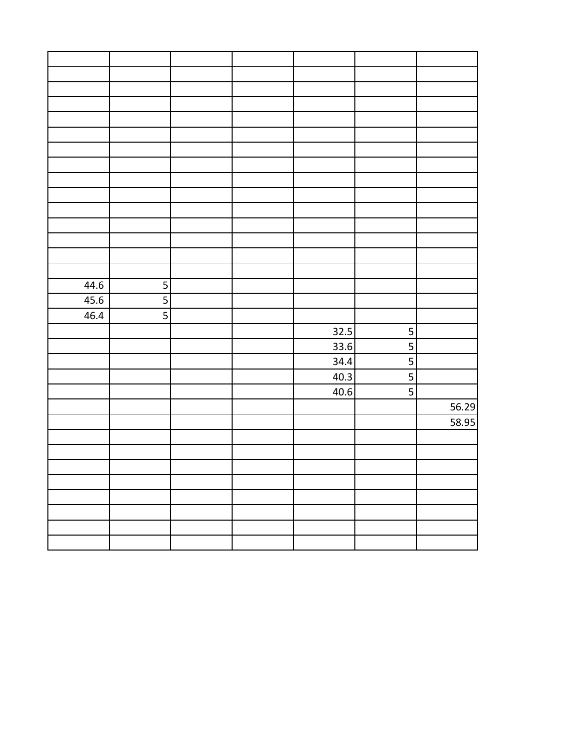| 44.6 | 5                       |  |      |                         |       |
|------|-------------------------|--|------|-------------------------|-------|
| 45.6 | $\overline{5}$          |  |      |                         |       |
| 46.4 | $\overline{\mathbf{5}}$ |  |      |                         |       |
|      |                         |  | 32.5 | $\overline{\mathbf{5}}$ |       |
|      |                         |  | 33.6 | 5                       |       |
|      |                         |  | 34.4 | 5                       |       |
|      |                         |  | 40.3 | 5                       |       |
|      |                         |  | 40.6 | 5                       |       |
|      |                         |  |      |                         | 56.29 |
|      |                         |  |      |                         | 58.95 |
|      |                         |  |      |                         |       |
|      |                         |  |      |                         |       |
|      |                         |  |      |                         |       |
|      |                         |  |      |                         |       |
|      |                         |  |      |                         |       |
|      |                         |  |      |                         |       |
|      |                         |  |      |                         |       |
|      |                         |  |      |                         |       |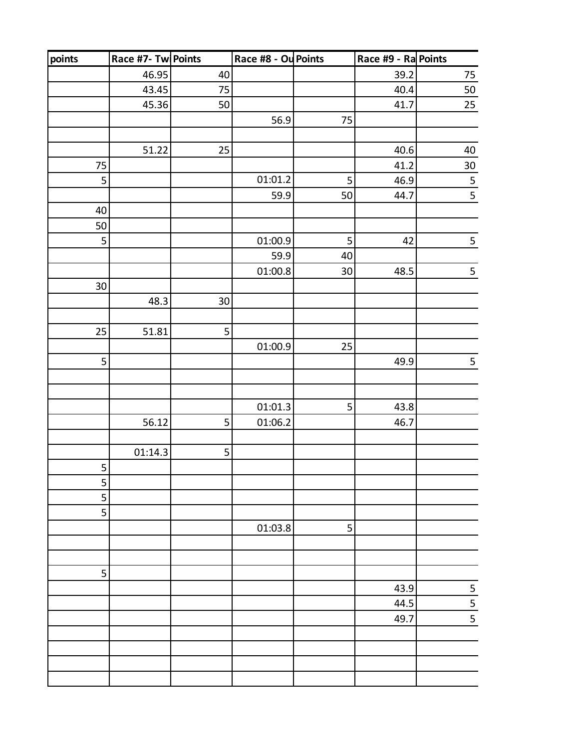| points | Race #7- Tw Points |                 | Race #8 - Ou Points |             | Race #9 - Ra Points |                 |
|--------|--------------------|-----------------|---------------------|-------------|---------------------|-----------------|
|        | 46.95              | 40              |                     |             | 39.2                | 75              |
|        | 43.45              | 75              |                     |             | 40.4                | 50              |
|        | 45.36              | 50              |                     |             | 41.7                | 25              |
|        |                    |                 | 56.9                | 75          |                     |                 |
|        |                    |                 |                     |             |                     |                 |
|        | 51.22              | 25              |                     |             | 40.6                | $40\,$          |
| 75     |                    |                 |                     |             | 41.2                | 30 <sub>o</sub> |
| 5      |                    |                 | 01:01.2             | 5           | 46.9                |                 |
|        |                    |                 | 59.9                | 50          | 44.7                | $\frac{5}{5}$   |
| 40     |                    |                 |                     |             |                     |                 |
| 50     |                    |                 |                     |             |                     |                 |
| 5      |                    |                 | 01:00.9             | $\mathsf S$ | 42                  | $\overline{5}$  |
|        |                    |                 | 59.9                | 40          |                     |                 |
|        |                    |                 | 01:00.8             | $30\,$      | 48.5                | 5               |
| $30\,$ |                    |                 |                     |             |                     |                 |
|        | 48.3               | 30 <sup>°</sup> |                     |             |                     |                 |
|        |                    |                 |                     |             |                     |                 |
| 25     | 51.81              | 5               |                     |             |                     |                 |
|        |                    |                 | 01:00.9             | 25          |                     |                 |
| 5      |                    |                 |                     |             | 49.9                | 5               |
|        |                    |                 |                     |             |                     |                 |
|        |                    |                 |                     |             |                     |                 |
|        |                    |                 | 01:01.3             | 5           | 43.8                |                 |
|        | 56.12              | 5               | 01:06.2             |             | 46.7                |                 |
|        |                    |                 |                     |             |                     |                 |
|        | 01:14.3            | 5               |                     |             |                     |                 |
| 5      |                    |                 |                     |             |                     |                 |
| 5      |                    |                 |                     |             |                     |                 |
| 5      |                    |                 |                     |             |                     |                 |
| 5      |                    |                 |                     |             |                     |                 |
|        |                    |                 | 01:03.8             | 5           |                     |                 |
|        |                    |                 |                     |             |                     |                 |
|        |                    |                 |                     |             |                     |                 |
| 5      |                    |                 |                     |             |                     |                 |
|        |                    |                 |                     |             | 43.9                |                 |
|        |                    |                 |                     |             | 44.5                | $\frac{5}{5}$   |
|        |                    |                 |                     |             | 49.7                |                 |
|        |                    |                 |                     |             |                     |                 |
|        |                    |                 |                     |             |                     |                 |
|        |                    |                 |                     |             |                     |                 |
|        |                    |                 |                     |             |                     |                 |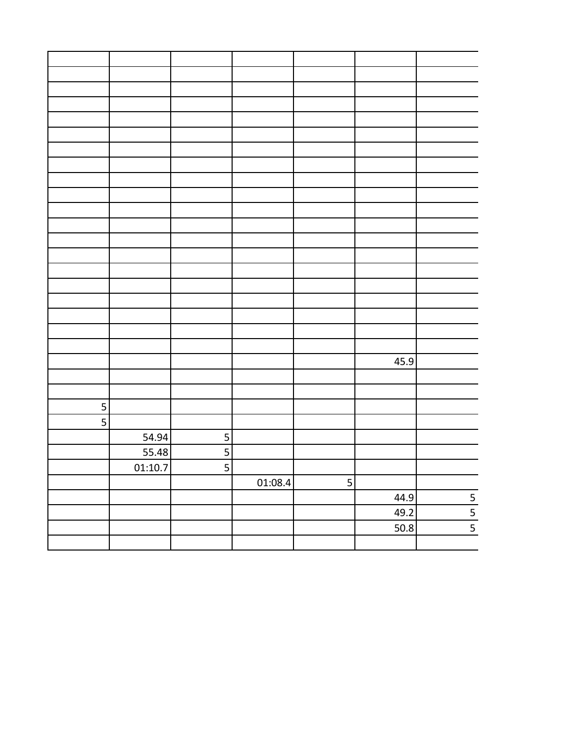|   |         |                         |         |                         | 45.9 |               |
|---|---------|-------------------------|---------|-------------------------|------|---------------|
|   |         |                         |         |                         |      |               |
|   |         |                         |         |                         |      |               |
| 5 |         |                         |         |                         |      |               |
| 5 |         |                         |         |                         |      |               |
|   | 54.94   | $\overline{\mathbf{5}}$ |         |                         |      |               |
|   | 55.48   | $\overline{\mathbf{5}}$ |         |                         |      |               |
|   | 01:10.7 | $\overline{\mathbf{5}}$ |         |                         |      |               |
|   |         |                         | 01:08.4 | $\overline{\mathbf{5}}$ |      |               |
|   |         |                         |         |                         | 44.9 |               |
|   |         |                         |         |                         | 49.2 | $\frac{5}{5}$ |
|   |         |                         |         |                         | 50.8 |               |
|   |         |                         |         |                         |      |               |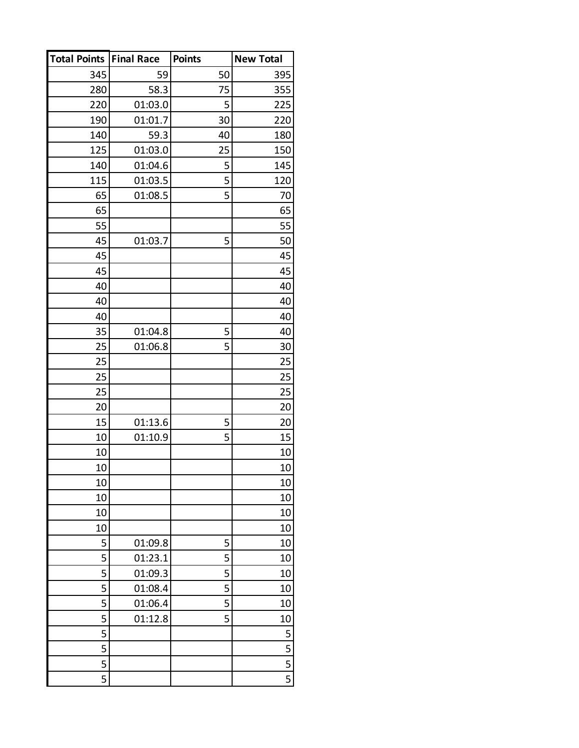| <b>Total Points</b> | <b>Final Race</b> | <b>Points</b> | <b>New Total</b> |
|---------------------|-------------------|---------------|------------------|
| 345                 | 59                | 50            | 395              |
| 280                 | 58.3              | 75            | 355              |
| 220                 | 01:03.0           | 5             | 225              |
| 190                 | 01:01.7           | 30            | 220              |
| 140                 | 59.3              | 40            | 180              |
| 125                 | 01:03.0           | 25            | 150              |
| 140                 | 01:04.6           | 5             | 145              |
| 115                 | 01:03.5           | 5             | 120              |
| 65                  | 01:08.5           | 5             | 70               |
| 65                  |                   |               | 65               |
| 55                  |                   |               | 55               |
| 45                  | 01:03.7           | 5             | 50               |
| 45                  |                   |               | 45               |
| 45                  |                   |               | 45               |
| 40                  |                   |               | 40               |
| 40                  |                   |               | 40               |
| 40                  |                   |               | 40               |
| 35                  | 01:04.8           | 5             | 40               |
| 25                  | 01:06.8           | 5             | 30               |
| 25                  |                   |               | 25               |
| 25                  |                   |               | 25               |
| 25                  |                   |               | 25               |
| 20                  |                   |               | 20               |
| 15                  | 01:13.6           | 5             | 20               |
| 10                  | 01:10.9           | 5             | 15               |
| 10                  |                   |               | 10               |
| 10                  |                   |               | 10               |
| 10                  |                   |               | 10               |
| 10                  |                   |               | 10               |
| 10                  |                   |               | 10               |
| 10                  |                   |               | 10               |
| 5                   | 01:09.8           | 5             | 10               |
| 5                   | 01:23.1           | 5             | 10               |
| 5                   | 01:09.3           | 5             | 10               |
| 5                   | 01:08.4           | 5             | 10               |
| 5                   | 01:06.4           | 5             | 10               |
| 5                   | 01:12.8           | 5             | 10               |
| 5                   |                   |               | 5                |
| 5                   |                   |               | 5                |
| 5                   |                   |               | 5                |
| 5                   |                   |               | 5                |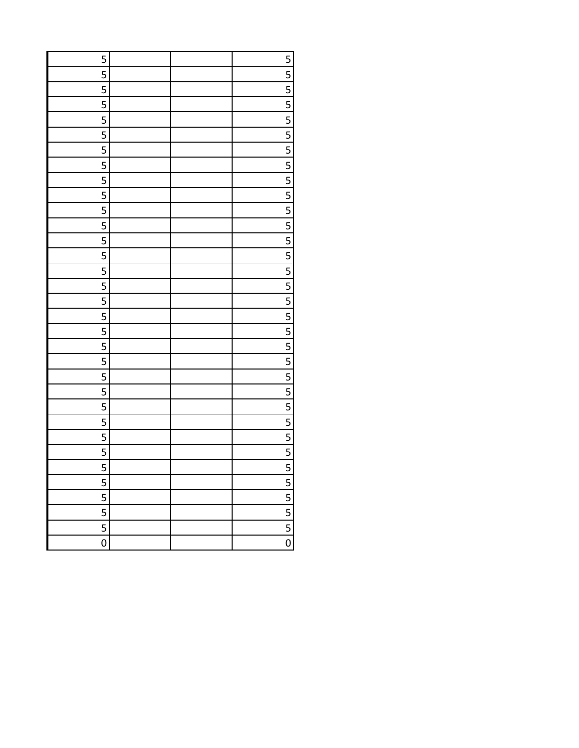| 5                                    |  |                             |
|--------------------------------------|--|-----------------------------|
| 5                                    |  | $\frac{5}{5}$               |
| 5                                    |  |                             |
| $\overline{\overline{\overline{5}}}$ |  |                             |
| 5                                    |  | $\frac{5}{5}$               |
| 5                                    |  |                             |
| $\overline{\overline{\overline{5}}}$ |  | $\frac{5}{5}$               |
| 5                                    |  |                             |
| 5                                    |  |                             |
| $\overline{\overline{\overline{5}}}$ |  | $\frac{5}{5}$               |
| 5                                    |  |                             |
| 5                                    |  | $\frac{5}{5}$               |
| $\overline{\overline{\overline{5}}}$ |  |                             |
| 5                                    |  |                             |
| 5                                    |  |                             |
| $\overline{\overline{\overline{5}}}$ |  | $\frac{5}{5}$               |
| 5                                    |  |                             |
| 5                                    |  | $\frac{5}{5}$               |
| $\overline{\overline{\overline{5}}}$ |  |                             |
| 5                                    |  |                             |
| 5                                    |  |                             |
| $\overline{\overline{\overline{5}}}$ |  |                             |
| 5                                    |  | $\frac{5}{5}$               |
| 5                                    |  |                             |
| $\overline{5}$                       |  | $\frac{1}{5}$ $\frac{5}{5}$ |
| 5                                    |  |                             |
| 5                                    |  | $\frac{5}{5}$               |
| $\overline{5}$                       |  |                             |
| 5                                    |  | $\overline{5}$              |
| 5                                    |  |                             |
| $\overline{5}$                       |  | $\frac{5}{5}$               |
| $\overline{5}$                       |  |                             |
| $\overline{0}$                       |  | $\overline{0}$              |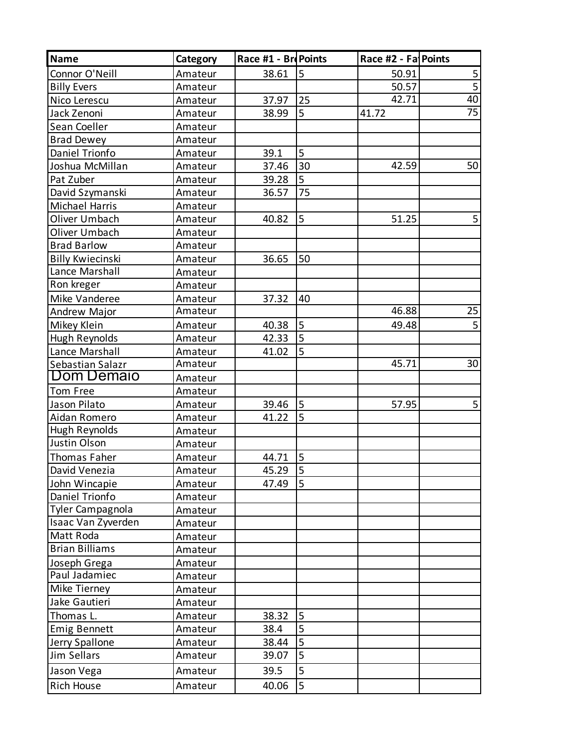| <b>Name</b>             | Category | Race #1 - Bre Points |                | Race #2 - Fa Points |                         |
|-------------------------|----------|----------------------|----------------|---------------------|-------------------------|
| Connor O'Neill          | Amateur  | 38.61                | 5              | 50.91               | $\overline{\mathbf{5}}$ |
| <b>Billy Evers</b>      | Amateur  |                      |                | 50.57               | $\overline{5}$          |
| Nico Lerescu            | Amateur  | 37.97                | 25             | 42.71               | 40                      |
| Jack Zenoni             | Amateur  | 38.99                | 5              | 41.72               | 75                      |
| Sean Coeller            | Amateur  |                      |                |                     |                         |
| <b>Brad Dewey</b>       | Amateur  |                      |                |                     |                         |
| Daniel Trionfo          | Amateur  | 39.1                 | 5              |                     |                         |
| Joshua McMillan         | Amateur  | 37.46                | 30             | 42.59               | 50                      |
| Pat Zuber               | Amateur  | 39.28                | 5              |                     |                         |
| David Szymanski         | Amateur  | 36.57                | 75             |                     |                         |
| Michael Harris          | Amateur  |                      |                |                     |                         |
| Oliver Umbach           | Amateur  | 40.82                | 5              | 51.25               | 5                       |
| Oliver Umbach           | Amateur  |                      |                |                     |                         |
| <b>Brad Barlow</b>      | Amateur  |                      |                |                     |                         |
| <b>Billy Kwiecinski</b> | Amateur  | 36.65                | 50             |                     |                         |
| Lance Marshall          | Amateur  |                      |                |                     |                         |
| Ron kreger              | Amateur  |                      |                |                     |                         |
| Mike Vanderee           | Amateur  | 37.32                | 40             |                     |                         |
| Andrew Major            | Amateur  |                      |                | 46.88               | 25                      |
| Mikey Klein             | Amateur  | 40.38                | $\overline{5}$ | 49.48               | 5                       |
| Hugh Reynolds           | Amateur  | 42.33                | $\overline{5}$ |                     |                         |
| Lance Marshall          | Amateur  | 41.02                | 5              |                     |                         |
| Sebastian Salazr        | Amateur  |                      |                | 45.71               | 30                      |
| Dom Demaio              | Amateur  |                      |                |                     |                         |
| Tom Free                | Amateur  |                      |                |                     |                         |
| Jason Pilato            | Amateur  | 39.46                | 5              | 57.95               | 5                       |
| Aidan Romero            | Amateur  | 41.22                | 5              |                     |                         |
| Hugh Reynolds           | Amateur  |                      |                |                     |                         |
| Justin Olson            | Amateur  |                      |                |                     |                         |
| Thomas Faher            | Amateur  | 44.71                | 5              |                     |                         |
| David Venezia           | Amateur  | 45.29                | $\overline{5}$ |                     |                         |
| John Wincapie           | Amateur  | 47.49                | 5              |                     |                         |
| Daniel Trionfo          | Amateur  |                      |                |                     |                         |
| Tyler Campagnola        | Amateur  |                      |                |                     |                         |
| Isaac Van Zyverden      | Amateur  |                      |                |                     |                         |
| Matt Roda               | Amateur  |                      |                |                     |                         |
| <b>Brian Billiams</b>   | Amateur  |                      |                |                     |                         |
| Joseph Grega            | Amateur  |                      |                |                     |                         |
| Paul Jadamiec           | Amateur  |                      |                |                     |                         |
| Mike Tierney            | Amateur  |                      |                |                     |                         |
| Jake Gautieri           | Amateur  |                      |                |                     |                         |
| Thomas L.               | Amateur  | 38.32                | 5              |                     |                         |
| <b>Emig Bennett</b>     | Amateur  | 38.4                 | 5              |                     |                         |
| Jerry Spallone          | Amateur  | 38.44                | 5              |                     |                         |
| Jim Sellars             | Amateur  | 39.07                | 5              |                     |                         |
| Jason Vega              | Amateur  | 39.5                 | 5              |                     |                         |
| <b>Rich House</b>       | Amateur  | 40.06                | 5              |                     |                         |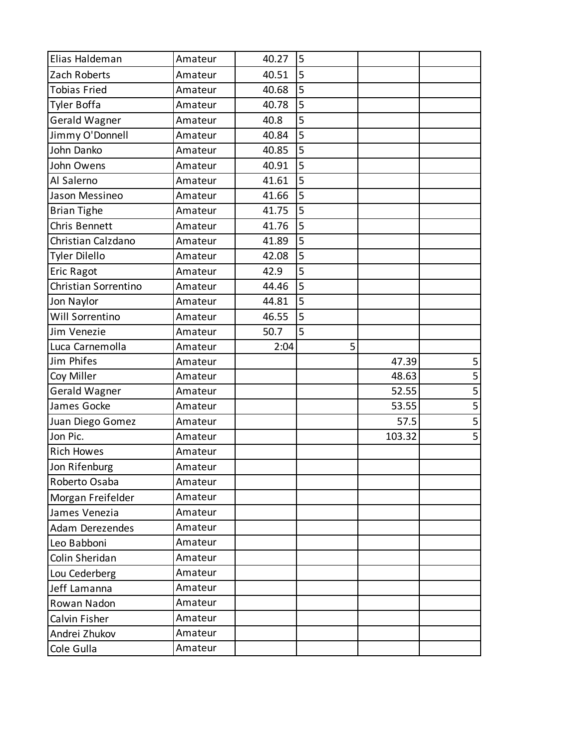| Elias Haldeman       | Amateur | 40.27 | 5 |        |   |
|----------------------|---------|-------|---|--------|---|
| Zach Roberts         | Amateur | 40.51 | 5 |        |   |
| <b>Tobias Fried</b>  | Amateur | 40.68 | 5 |        |   |
| <b>Tyler Boffa</b>   | Amateur | 40.78 | 5 |        |   |
| Gerald Wagner        | Amateur | 40.8  | 5 |        |   |
| Jimmy O'Donnell      | Amateur | 40.84 | 5 |        |   |
| John Danko           | Amateur | 40.85 | 5 |        |   |
| John Owens           | Amateur | 40.91 | 5 |        |   |
| Al Salerno           | Amateur | 41.61 | 5 |        |   |
| Jason Messineo       | Amateur | 41.66 | 5 |        |   |
| <b>Brian Tighe</b>   | Amateur | 41.75 | 5 |        |   |
| Chris Bennett        | Amateur | 41.76 | 5 |        |   |
| Christian Calzdano   | Amateur | 41.89 | 5 |        |   |
| Tyler Dilello        | Amateur | 42.08 | 5 |        |   |
| <b>Eric Ragot</b>    | Amateur | 42.9  | 5 |        |   |
| Christian Sorrentino | Amateur | 44.46 | 5 |        |   |
| Jon Naylor           | Amateur | 44.81 | 5 |        |   |
| Will Sorrentino      | Amateur | 46.55 | 5 |        |   |
| Jim Venezie          | Amateur | 50.7  | 5 |        |   |
| Luca Carnemolla      | Amateur | 2:04  | 5 |        |   |
| Jim Phifes           | Amateur |       |   | 47.39  | 5 |
| Coy Miller           | Amateur |       |   | 48.63  | 5 |
| <b>Gerald Wagner</b> | Amateur |       |   | 52.55  | 5 |
| James Gocke          | Amateur |       |   | 53.55  | 5 |
| Juan Diego Gomez     | Amateur |       |   | 57.5   | 5 |
| Jon Pic.             | Amateur |       |   | 103.32 | 5 |
| <b>Rich Howes</b>    | Amateur |       |   |        |   |
| Jon Rifenburg        | Amateur |       |   |        |   |
| Roberto Osaba        | Amateur |       |   |        |   |
| Morgan Freifelder    | Amateur |       |   |        |   |
| James Venezia        | Amateur |       |   |        |   |
| Adam Derezendes      | Amateur |       |   |        |   |
| Leo Babboni          | Amateur |       |   |        |   |
| Colin Sheridan       | Amateur |       |   |        |   |
| Lou Cederberg        | Amateur |       |   |        |   |
| Jeff Lamanna         | Amateur |       |   |        |   |
| Rowan Nadon          | Amateur |       |   |        |   |
| Calvin Fisher        | Amateur |       |   |        |   |
| Andrei Zhukov        | Amateur |       |   |        |   |
| Cole Gulla           | Amateur |       |   |        |   |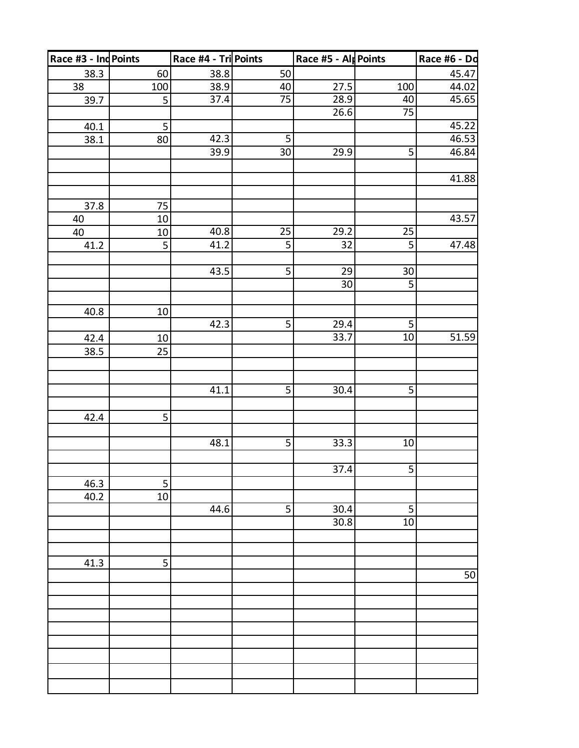| Race #3 - Ind Points |                         | Race #4 - Tri Points |                 | Race #5 - Alp Points |                 | Race #6 - Do |
|----------------------|-------------------------|----------------------|-----------------|----------------------|-----------------|--------------|
| 38.3                 | 60                      | 38.8                 | 50              |                      |                 | 45.47        |
| 38                   | 100                     | 38.9                 | <u>40</u>       | 27.5                 | 100             | 44.02        |
| 39.7                 | $\overline{5}$          | 37.4                 | $\overline{75}$ | 28.9                 | 40              | 45.65        |
|                      |                         |                      |                 | 26.6                 | 75              |              |
| 40.1                 | 5                       |                      |                 |                      |                 | 45.22        |
| 38.1                 | 80                      | 42.3                 | 5               |                      |                 | 46.53        |
|                      |                         | 39.9                 | $30\,$          | 29.9                 | 5               | 46.84        |
|                      |                         |                      |                 |                      |                 |              |
|                      |                         |                      |                 |                      |                 | 41.88        |
|                      |                         |                      |                 |                      |                 |              |
| 37.8                 | 75                      |                      |                 |                      |                 |              |
| 40                   | 10                      |                      |                 |                      |                 | 43.57        |
| 40                   | 10                      | 40.8                 | 25              | 29.2                 | 25              |              |
| 41.2                 | 5                       | 41.2                 | $\overline{5}$  | 32                   | $\overline{5}$  | 47.48        |
|                      |                         |                      |                 |                      |                 |              |
|                      |                         | 43.5                 | 5               | 29                   | $30\,$          |              |
|                      |                         |                      |                 | $\overline{30}$      | 5               |              |
|                      |                         |                      |                 |                      |                 |              |
| 40.8                 | $10\,$                  |                      |                 |                      |                 |              |
|                      |                         | 42.3                 | $\overline{5}$  | 29.4                 | 5               |              |
| 42.4                 | $10\,$                  |                      |                 | 33.7                 | 10              | 51.59        |
| 38.5                 | 25                      |                      |                 |                      |                 |              |
|                      |                         |                      |                 |                      |                 |              |
|                      |                         |                      |                 |                      |                 |              |
|                      |                         | 41.1                 | 5               | 30.4                 | 5               |              |
|                      |                         |                      |                 |                      |                 |              |
| 42.4                 | $\overline{\mathbf{5}}$ |                      |                 |                      |                 |              |
|                      |                         |                      |                 |                      |                 |              |
|                      |                         | 48.1                 | $\overline{5}$  | 33.3                 | $10\,$          |              |
|                      |                         |                      |                 |                      |                 |              |
|                      |                         |                      |                 | 37.4                 | $\overline{5}$  |              |
| 46.3                 | 5                       |                      |                 |                      |                 |              |
| 40.2                 | 10                      |                      |                 |                      |                 |              |
|                      |                         | 44.6                 | 5               | 30.4                 | 5               |              |
|                      |                         |                      |                 | 30.8                 | $\overline{10}$ |              |
|                      |                         |                      |                 |                      |                 |              |
|                      |                         |                      |                 |                      |                 |              |
| 41.3                 | 5                       |                      |                 |                      |                 | 50           |
|                      |                         |                      |                 |                      |                 |              |
|                      |                         |                      |                 |                      |                 |              |
|                      |                         |                      |                 |                      |                 |              |
|                      |                         |                      |                 |                      |                 |              |
|                      |                         |                      |                 |                      |                 |              |
|                      |                         |                      |                 |                      |                 |              |
|                      |                         |                      |                 |                      |                 |              |
|                      |                         |                      |                 |                      |                 |              |
|                      |                         |                      |                 |                      |                 |              |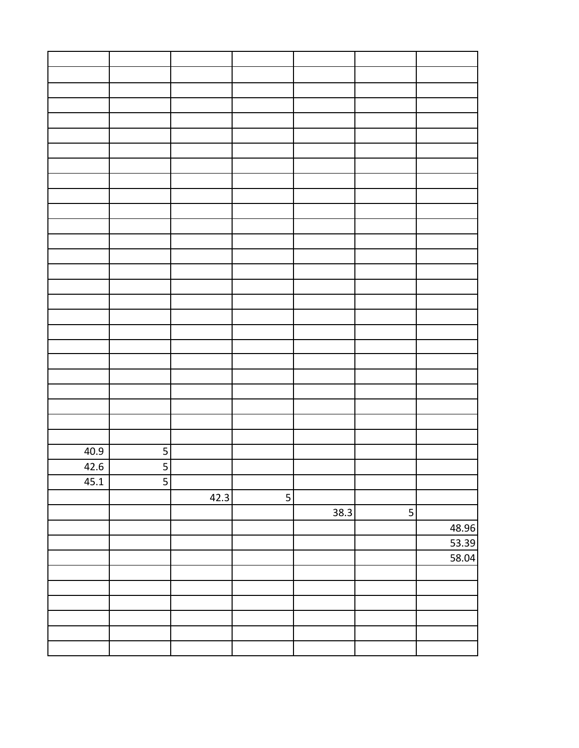| 40.9 | 5              |      |   |      |                |       |
|------|----------------|------|---|------|----------------|-------|
| 42.6 |                |      |   |      |                |       |
| 45.1 | $\overline{5}$ |      |   |      |                |       |
|      |                | 42.3 | 5 |      |                |       |
|      |                |      |   | 38.3 | 5 <sup>1</sup> |       |
|      |                |      |   |      |                | 48.96 |
|      |                |      |   |      |                | 53.39 |
|      |                |      |   |      |                | 58.04 |
|      |                |      |   |      |                |       |
|      |                |      |   |      |                |       |
|      |                |      |   |      |                |       |
|      |                |      |   |      |                |       |
|      |                |      |   |      |                |       |
|      |                |      |   |      |                |       |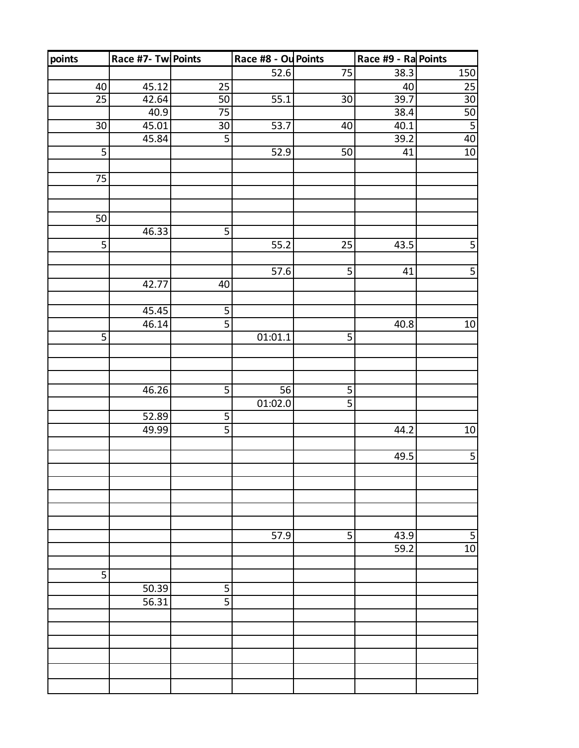| points          | Race #7- Tw Points |                | Race #8 - Ou Points |                 | Race #9 - Ra Points |                         |
|-----------------|--------------------|----------------|---------------------|-----------------|---------------------|-------------------------|
|                 |                    |                | 52.6                | $\overline{75}$ | 38.3                | 150                     |
| 40              | 45.12              | 25             |                     |                 | 40                  | 25                      |
| $\overline{25}$ | 42.64              | 50             | 55.1                | 30              | 39.7                | $\overline{30}$         |
|                 | 40.9               | 75             |                     |                 | 38.4                | 50                      |
| $\overline{30}$ | 45.01              | 30             | 53.7                | 40              | 40.1                | $\overline{\mathbf{5}}$ |
|                 | 45.84              | $\overline{5}$ |                     |                 | 39.2                | 40                      |
| 5               |                    |                | 52.9                | 50              | 41                  | $10\,$                  |
|                 |                    |                |                     |                 |                     |                         |
| 75              |                    |                |                     |                 |                     |                         |
|                 |                    |                |                     |                 |                     |                         |
|                 |                    |                |                     |                 |                     |                         |
| $\overline{50}$ |                    |                |                     |                 |                     |                         |
|                 | 46.33              | 5              |                     |                 |                     |                         |
| 5               |                    |                | 55.2                | 25              | 43.5                | $\overline{\mathbf{5}}$ |
|                 |                    |                |                     |                 |                     |                         |
|                 |                    |                | 57.6                | 5               | 41                  | $\overline{5}$          |
|                 | 42.77              | 40             |                     |                 |                     |                         |
|                 | 45.45              | 5              |                     |                 |                     |                         |
|                 | 46.14              | $\overline{5}$ |                     |                 | 40.8                | 10                      |
| 5               |                    |                | 01:01.1             | 5               |                     |                         |
|                 |                    |                |                     |                 |                     |                         |
|                 |                    |                |                     |                 |                     |                         |
|                 |                    |                |                     |                 |                     |                         |
|                 | 46.26              | $\overline{5}$ | 56                  | 5               |                     |                         |
|                 |                    |                | 01:02.0             | $\overline{5}$  |                     |                         |
|                 | 52.89              | 5              |                     |                 |                     |                         |
|                 | 49.99              | $\overline{5}$ |                     |                 | 44.2                | $10$                    |
|                 |                    |                |                     |                 |                     |                         |
|                 |                    |                |                     |                 | 49.5                | $\overline{5}$          |
|                 |                    |                |                     |                 |                     |                         |
|                 |                    |                |                     |                 |                     |                         |
|                 |                    |                |                     |                 |                     |                         |
|                 |                    |                |                     |                 |                     |                         |
|                 |                    |                |                     |                 |                     |                         |
|                 |                    |                | 57.9                | 5               | 43.9                | 5                       |
|                 |                    |                |                     |                 | 59.2                | 10                      |
|                 |                    |                |                     |                 |                     |                         |
| 5               |                    |                |                     |                 |                     |                         |
|                 | 50.39              | 5              |                     |                 |                     |                         |
|                 | 56.31              | $\overline{5}$ |                     |                 |                     |                         |
|                 |                    |                |                     |                 |                     |                         |
|                 |                    |                |                     |                 |                     |                         |
|                 |                    |                |                     |                 |                     |                         |
|                 |                    |                |                     |                 |                     |                         |
|                 |                    |                |                     |                 |                     |                         |
|                 |                    |                |                     |                 |                     |                         |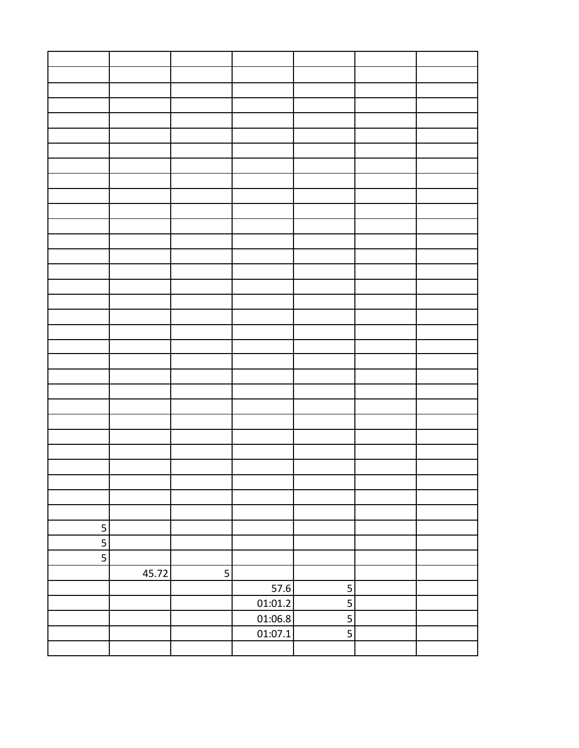| 5 |       |   |         |                         |  |
|---|-------|---|---------|-------------------------|--|
| 5 |       |   |         |                         |  |
| 5 |       |   |         |                         |  |
|   | 45.72 | 5 |         |                         |  |
|   |       |   | 57.6    | $\overline{5}$          |  |
|   |       |   | 01:01.2 | $\overline{\mathbf{5}}$ |  |
|   |       |   | 01:06.8 | $\overline{5}$          |  |
|   |       |   | 01:07.1 |                         |  |
|   |       |   |         |                         |  |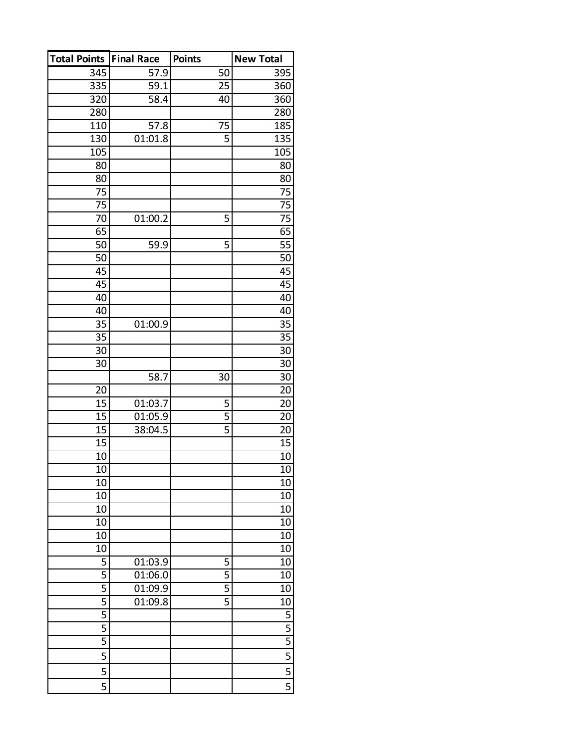| <b>Total Points</b> | <b>Final Race</b> | <b>Points</b>  | <b>New Total</b>        |
|---------------------|-------------------|----------------|-------------------------|
| 345                 | 57.9              | 50             | 395                     |
| 335                 | 59.1              | 25             | 360                     |
| 320                 | 58.4              | 40             | 360                     |
| 280                 |                   |                | 280                     |
| 110                 | 57.8              | 75             | 185                     |
| 130                 | 01:01.8           | 5              | 135                     |
| 105                 |                   |                | 105                     |
| 80                  |                   |                | 80                      |
| 80                  |                   |                | 80                      |
| 75                  |                   |                | 75                      |
| 75                  |                   |                | $\overline{75}$         |
| 70                  | 01:00.2           | 5              | 75                      |
| 65                  |                   |                | $\overline{65}$         |
| 50                  | 59.9              | 5              | $\overline{55}$         |
| 50                  |                   |                | 50                      |
| 45                  |                   |                | 45                      |
| 45                  |                   |                | 45                      |
| 40                  |                   |                | 40                      |
| 40                  |                   |                | 40                      |
| 35                  | 01:00.9           |                | 35                      |
| 35                  |                   |                | 35                      |
| 30                  |                   |                | 30                      |
| 30                  |                   |                | 30                      |
|                     | 58.7              | 30             | 30                      |
| 20                  |                   |                | 20                      |
| 15                  | 01:03.7           | 5              | 20                      |
| 15                  | 01:05.9           | 5              | 20                      |
| 15                  | 38:04.5           | 5              | 20                      |
| 15                  |                   |                | 15                      |
| 10                  |                   |                | 10                      |
| 10                  |                   |                | 10                      |
| 10                  |                   |                | 10                      |
| 10                  |                   |                | 10                      |
| 10                  |                   |                | 10                      |
| 10                  |                   |                | 10                      |
| 10                  |                   |                | 10                      |
| 10                  |                   |                | 10                      |
| 5                   | 01:03.9           | 5              | 10                      |
| 5                   | 01:06.0           | 5              | 10                      |
| 5                   | 01:09.9           | 5              | 10                      |
| $\overline{5}$      | 01:09.8           | $\overline{5}$ | 10                      |
| 5                   |                   |                | <u>5</u>                |
| 5                   |                   |                | 5                       |
| 5                   |                   |                | $\overline{5}$          |
| 5                   |                   |                | $\overline{\mathbf{5}}$ |
| 5                   |                   |                | 5                       |
| 5                   |                   |                | $\overline{5}$          |
|                     |                   |                |                         |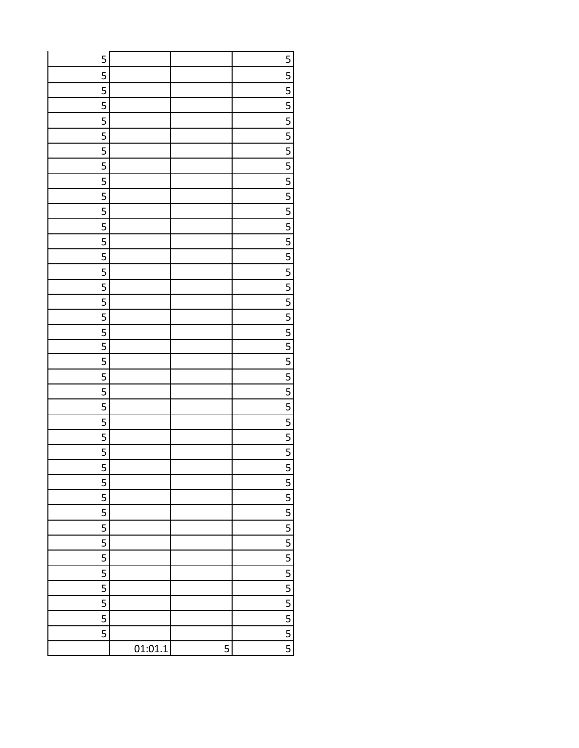| 5              |         |   | $\overline{\mathbf{5}}$              |
|----------------|---------|---|--------------------------------------|
| 5              |         |   | $\frac{5}{5}$                        |
| 5              |         |   |                                      |
| 5              |         |   | $\frac{5}{5}$                        |
| $\overline{5}$ |         |   |                                      |
| $\overline{5}$ |         |   |                                      |
| 5              |         |   | $\frac{5}{5}$                        |
|                |         |   |                                      |
| $\overline{5}$ |         |   |                                      |
| 5              |         |   | $\frac{5}{5}$                        |
|                |         |   |                                      |
| $\overline{5}$ |         |   |                                      |
| 5              |         |   |                                      |
| $\overline{5}$ |         |   | $\frac{5}{5}$                        |
| $\overline{5}$ |         |   |                                      |
| 5              |         |   | $\frac{5}{5}$                        |
| $\overline{5}$ |         |   |                                      |
| $\overline{5}$ |         |   |                                      |
| 5              |         |   | $\overline{\overline{\overline{5}}}$ |
| $\overline{5}$ |         |   | $\overline{\mathbf{5}}$              |
| 5              |         |   | $\overline{5}$                       |
| 5              |         |   | $\overline{5}$                       |
| 5              |         |   | $\overline{5}$                       |
| 5              |         |   | $\overline{5}$                       |
| 5              |         |   | $\overline{5}$                       |
| 5              |         |   | $\overline{5}$                       |
| 5              |         |   | $\overline{5}$                       |
| 5              |         |   | $\overline{5}$                       |
| 5              |         |   | 5                                    |
| 5              |         |   | $\overline{5}$                       |
| 5              |         |   | $\overline{\overline{\overline{5}}}$ |
| 5              |         |   | 5                                    |
| 5              |         |   | $\overline{5}$                       |
| 5              |         |   | $\overline{\overline{\overline{5}}}$ |
| 5              |         |   | 5                                    |
| 5              |         |   | $\overline{5}$                       |
| 5              |         |   | $\overline{\mathbf{5}}$              |
| 5              |         |   | $\overline{\mathbf{5}}$              |
| 5              |         |   | $\overline{\mathbf{5}}$              |
|                | 01:01.1 | 5 | $\overline{\mathbf{5}}$              |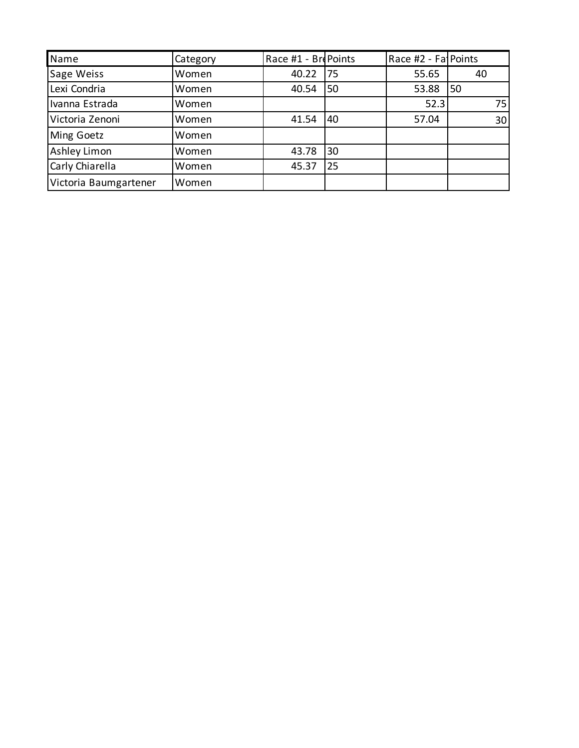| Name                  | Category | Race #1 - BrePoints |     | Race #2 - Fa Points |    |
|-----------------------|----------|---------------------|-----|---------------------|----|
| Sage Weiss            | Women    | 40.22               | 175 | 55.65               | 40 |
| Lexi Condria          | Women    | 40.54               | 50  | 53.88               | 50 |
| Ivanna Estrada        | Women    |                     |     | 52.3                | 75 |
| Victoria Zenoni       | Women    | 41.54               | 40  | 57.04               | 30 |
| Ming Goetz            | Women    |                     |     |                     |    |
| Ashley Limon          | Women    | 43.78               | 30  |                     |    |
| Carly Chiarella       | Women    | 45.37               | 25  |                     |    |
| Victoria Baumgartener | Women    |                     |     |                     |    |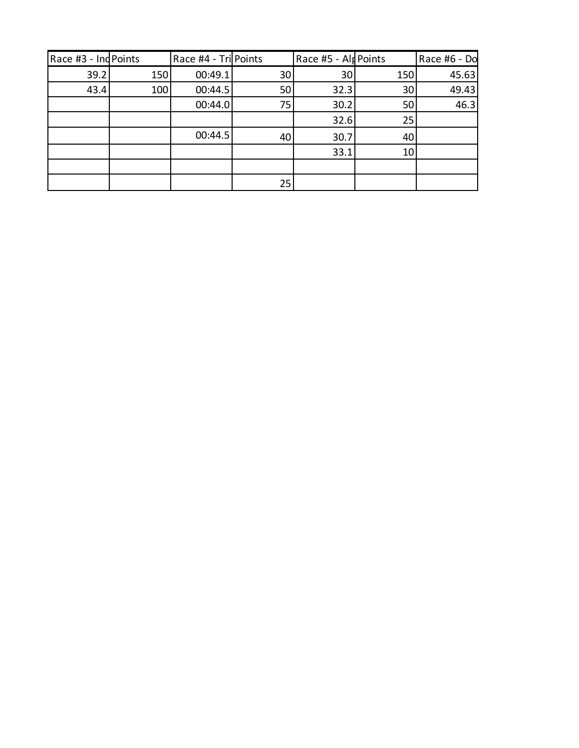| Race #3 - Ind Points |     | Race #4 - Tri Points |    | Race #5 - AlpPoints |     | Race #6 - Do |
|----------------------|-----|----------------------|----|---------------------|-----|--------------|
| 39.2                 | 150 | 00:49.1              | 30 | 30                  | 150 | 45.63        |
| 43.4                 | 100 | 00:44.5              | 50 | 32.3                | 30  | 49.43        |
|                      |     | 00:44.0              | 75 | 30.2                | 50  | 46.3         |
|                      |     |                      |    | 32.6                | 25  |              |
|                      |     | 00:44.5              | 40 | 30.7                | 40  |              |
|                      |     |                      |    | 33.1                | 10  |              |
|                      |     |                      |    |                     |     |              |
|                      |     |                      | 25 |                     |     |              |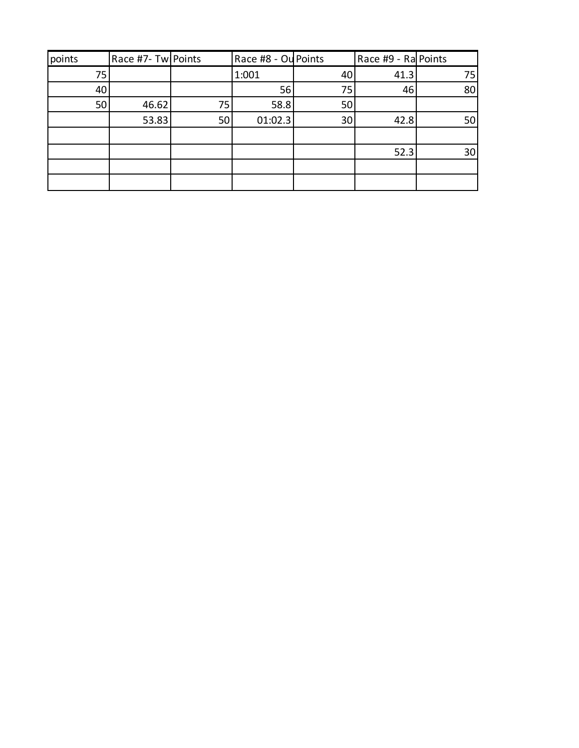| points | Race #7- Twl Points |    | Race #8 - Ou Points |                 | Race #9 - Ra Points |    |
|--------|---------------------|----|---------------------|-----------------|---------------------|----|
| 75     |                     |    | 1:001               | 40              | 41.3                | 75 |
| 40     |                     |    | 56                  | 75              | 46                  | 80 |
| 50     | 46.62               | 75 | 58.8                | 50              |                     |    |
|        | 53.83               | 50 | 01:02.3             | 30 <sup>1</sup> | 42.8                | 50 |
|        |                     |    |                     |                 |                     |    |
|        |                     |    |                     |                 | 52.3                | 30 |
|        |                     |    |                     |                 |                     |    |
|        |                     |    |                     |                 |                     |    |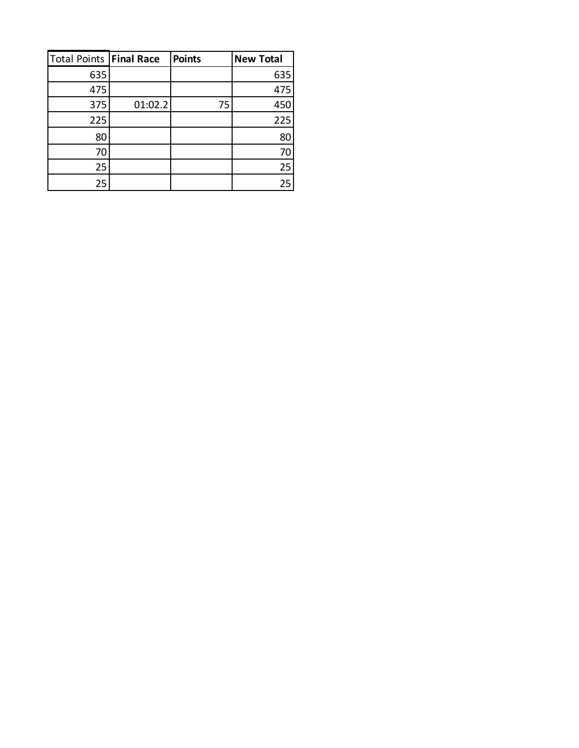| <b>Total Points Final Race</b> |         | <b>Points</b> | <b>New Total</b> |
|--------------------------------|---------|---------------|------------------|
| 635                            |         |               | 635              |
| 475                            |         |               | 475              |
| 375                            | 01:02.2 | 75            | 450              |
| 225                            |         |               | 225              |
| 80                             |         |               | 80               |
| 70                             |         |               | 70               |
| 25                             |         |               | 25               |
| 25                             |         |               | 25               |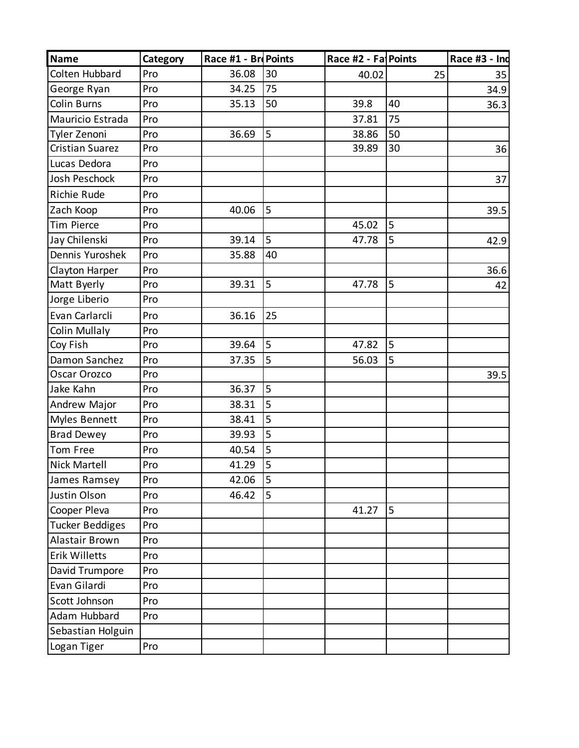| <b>Name</b>            | Category | Race #1 - Br Points |    | Race #2 - Fa Points |    | Race #3 - Ind |
|------------------------|----------|---------------------|----|---------------------|----|---------------|
| Colten Hubbard         | Pro      | 36.08               | 30 | 40.02               | 25 | 35            |
| George Ryan            | Pro      | 34.25               | 75 |                     |    | 34.9          |
| Colin Burns            | Pro      | 35.13               | 50 | 39.8                | 40 | 36.3          |
| Mauricio Estrada       | Pro      |                     |    | 37.81               | 75 |               |
| Tyler Zenoni           | Pro      | 36.69               | 5  | 38.86               | 50 |               |
| <b>Cristian Suarez</b> | Pro      |                     |    | 39.89               | 30 | 36            |
| Lucas Dedora           | Pro      |                     |    |                     |    |               |
| Josh Peschock          | Pro      |                     |    |                     |    | 37            |
| <b>Richie Rude</b>     | Pro      |                     |    |                     |    |               |
| Zach Koop              | Pro      | 40.06               | 5  |                     |    | 39.5          |
| <b>Tim Pierce</b>      | Pro      |                     |    | 45.02               | 5  |               |
| Jay Chilenski          | Pro      | 39.14               | 5  | 47.78               | 5  | 42.9          |
| Dennis Yuroshek        | Pro      | 35.88               | 40 |                     |    |               |
| Clayton Harper         | Pro      |                     |    |                     |    | 36.6          |
| Matt Byerly            | Pro      | 39.31               | 5  | 47.78               | 5  | 42            |
| Jorge Liberio          | Pro      |                     |    |                     |    |               |
| Evan Carlarcli         | Pro      | 36.16               | 25 |                     |    |               |
| <b>Colin Mullaly</b>   | Pro      |                     |    |                     |    |               |
| Coy Fish               | Pro      | 39.64               | 5  | 47.82               | 5  |               |
| Damon Sanchez          | Pro      | 37.35               | 5  | 56.03               | 5  |               |
| Oscar Orozco           | Pro      |                     |    |                     |    | 39.5          |
| Jake Kahn              | Pro      | 36.37               | 5  |                     |    |               |
| Andrew Major           | Pro      | 38.31               | 5  |                     |    |               |
| Myles Bennett          | Pro      | 38.41               | 5  |                     |    |               |
| <b>Brad Dewey</b>      | Pro      | 39.93               | 5  |                     |    |               |
| Tom Free               | Pro      | 40.54               | 5  |                     |    |               |
| <b>Nick Martell</b>    | Pro      | 41.29               | 5  |                     |    |               |
| James Ramsey           | Pro      | 42.06               | 5  |                     |    |               |
| Justin Olson           | Pro      | 46.42               | 5  |                     |    |               |
| Cooper Pleva           | Pro      |                     |    | 41.27               | 5  |               |
| <b>Tucker Beddiges</b> | Pro      |                     |    |                     |    |               |
| Alastair Brown         | Pro      |                     |    |                     |    |               |
| <b>Erik Willetts</b>   | Pro      |                     |    |                     |    |               |
| David Trumpore         | Pro      |                     |    |                     |    |               |
| Evan Gilardi           | Pro      |                     |    |                     |    |               |
| Scott Johnson          | Pro      |                     |    |                     |    |               |
| Adam Hubbard           | Pro      |                     |    |                     |    |               |
| Sebastian Holguin      |          |                     |    |                     |    |               |
| Logan Tiger            | Pro      |                     |    |                     |    |               |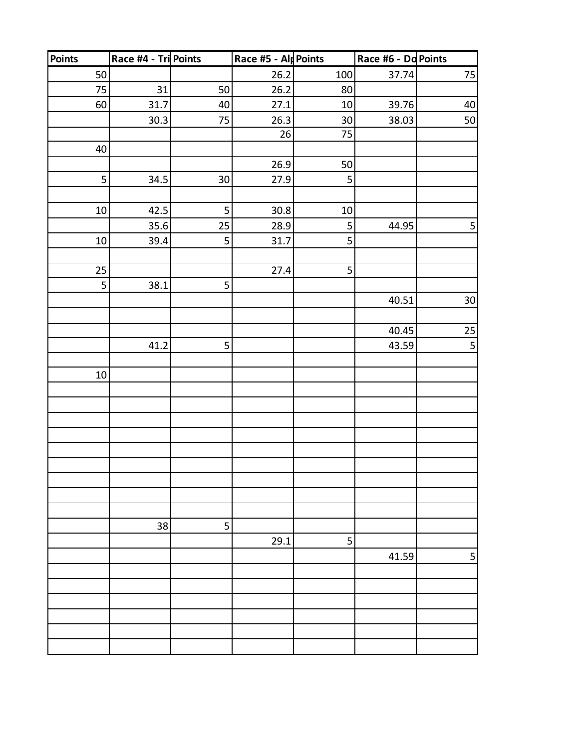| <b>Points</b> | Race #4 - Tri Points |                 | Race #5 - Alp Points |        | Race #6 - Dd Points |                 |
|---------------|----------------------|-----------------|----------------------|--------|---------------------|-----------------|
| 50            |                      |                 | 26.2                 | 100    | 37.74               | 75              |
| 75            | 31                   | 50              | 26.2                 | 80     |                     |                 |
| 60            | 31.7                 | 40              | 27.1                 | $10\,$ | 39.76               | 40              |
|               | 30.3                 | 75              | 26.3                 | $30\,$ | 38.03               | 50              |
|               |                      |                 | 26                   | 75     |                     |                 |
| 40            |                      |                 |                      |        |                     |                 |
|               |                      |                 | 26.9                 | 50     |                     |                 |
| 5             | 34.5                 | 30 <sup>°</sup> | 27.9                 | 5      |                     |                 |
|               |                      |                 |                      |        |                     |                 |
| $10\,$        | 42.5                 | 5               | 30.8                 | $10\,$ |                     |                 |
|               | 35.6                 | 25              | 28.9                 | 5      | 44.95               | $\mathsf S$     |
| $10\,$        | 39.4                 | 5               | 31.7                 | 5      |                     |                 |
|               |                      |                 |                      |        |                     |                 |
| 25            |                      |                 | 27.4                 | 5      |                     |                 |
| 5             | 38.1                 | 5               |                      |        |                     |                 |
|               |                      |                 |                      |        | 40.51               | 30 <sup>°</sup> |
|               |                      |                 |                      |        |                     |                 |
|               |                      |                 |                      |        | 40.45               | <b>25</b>       |
|               | 41.2                 | 5               |                      |        | 43.59               | 5               |
|               |                      |                 |                      |        |                     |                 |
| $10\,$        |                      |                 |                      |        |                     |                 |
|               |                      |                 |                      |        |                     |                 |
|               |                      |                 |                      |        |                     |                 |
|               |                      |                 |                      |        |                     |                 |
|               |                      |                 |                      |        |                     |                 |
|               |                      |                 |                      |        |                     |                 |
|               |                      |                 |                      |        |                     |                 |
|               |                      |                 |                      |        |                     |                 |
|               |                      |                 |                      |        |                     |                 |
|               |                      |                 |                      |        |                     |                 |
|               | 38                   | 5               |                      |        |                     |                 |
|               |                      |                 | 29.1                 | 5      |                     |                 |
|               |                      |                 |                      |        | 41.59               | 5               |
|               |                      |                 |                      |        |                     |                 |
|               |                      |                 |                      |        |                     |                 |
|               |                      |                 |                      |        |                     |                 |
|               |                      |                 |                      |        |                     |                 |
|               |                      |                 |                      |        |                     |                 |
|               |                      |                 |                      |        |                     |                 |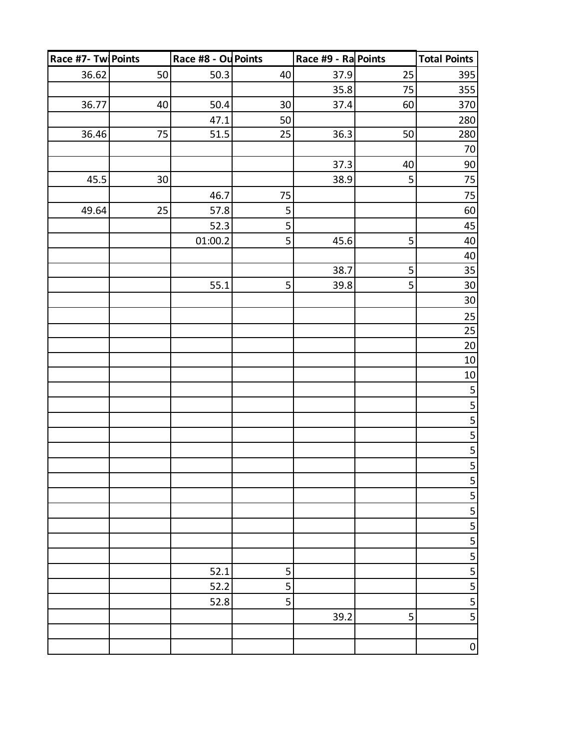| Race #7- Tw Points |    | Race #8 - Ou Points |    | Race #9 - Ra Points |    | <b>Total Points</b>                  |
|--------------------|----|---------------------|----|---------------------|----|--------------------------------------|
| 36.62              | 50 | 50.3                | 40 | 37.9                | 25 | 395                                  |
|                    |    |                     |    | 35.8                | 75 | 355                                  |
| 36.77              | 40 | 50.4                | 30 | 37.4                | 60 | 370                                  |
|                    |    | 47.1                | 50 |                     |    | 280                                  |
| 36.46              | 75 | 51.5                | 25 | 36.3                | 50 | 280                                  |
|                    |    |                     |    |                     |    | 70                                   |
|                    |    |                     |    | 37.3                | 40 | $90\,$                               |
| 45.5               | 30 |                     |    | 38.9                | 5  | $75\,$                               |
|                    |    | 46.7                | 75 |                     |    | 75                                   |
| 49.64              | 25 | 57.8                | 5  |                     |    | 60                                   |
|                    |    | 52.3                | 5  |                     |    | 45                                   |
|                    |    | 01:00.2             | 5  | 45.6                | 5  | $40\,$                               |
|                    |    |                     |    |                     |    | 40                                   |
|                    |    |                     |    | 38.7                | 5  | 35                                   |
|                    |    | 55.1                | 5  | 39.8                | 5  | $30\,$                               |
|                    |    |                     |    |                     |    | $30\,$                               |
|                    |    |                     |    |                     |    | 25                                   |
|                    |    |                     |    |                     |    | 25                                   |
|                    |    |                     |    |                     |    | $20\,$                               |
|                    |    |                     |    |                     |    | $10\,$                               |
|                    |    |                     |    |                     |    | $10\,$                               |
|                    |    |                     |    |                     |    | 5                                    |
|                    |    |                     |    |                     |    | $\overline{\mathbf{5}}$              |
|                    |    |                     |    |                     |    | $\overline{\mathbf{5}}$              |
|                    |    |                     |    |                     |    | $\overline{\overline{\overline{5}}}$ |
|                    |    |                     |    |                     |    | $\frac{5}{5}$                        |
|                    |    |                     |    |                     |    |                                      |
|                    |    |                     |    |                     |    | $\overline{\mathbf{5}}$              |
|                    |    |                     |    |                     |    | $\overline{5}$                       |
|                    |    |                     |    |                     |    | 5                                    |
|                    |    |                     |    |                     |    |                                      |
|                    |    |                     |    |                     |    | $\overline{\overline{\overline{5}}}$ |
|                    |    |                     |    |                     |    | 5                                    |
|                    |    | 52.1                | 5  |                     |    | $\frac{5}{5}$                        |
|                    |    | 52.2                | 5  |                     |    |                                      |
|                    |    | 52.8                | 5  |                     |    | 5<br>$\overline{\mathbf{5}}$         |
|                    |    |                     |    | 39.2                | 5  |                                      |
|                    |    |                     |    |                     |    |                                      |
|                    |    |                     |    |                     |    | $\pmb{0}$                            |